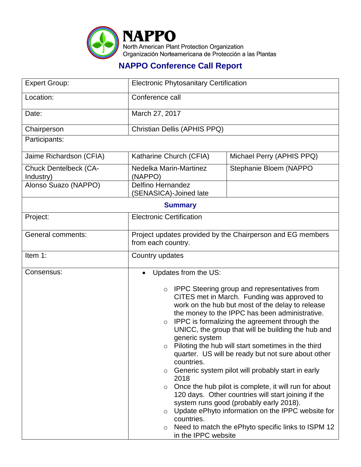

## **NAPPO Conference Call Report**

| <b>Expert Group:</b>                      | <b>Electronic Phytosanitary Certification</b>                                                                                                          |                                                                                                                                                                                                                                                                                                                                                                                                                                                                                                                                                                                                                                                                                                                                                        |  |  |
|-------------------------------------------|--------------------------------------------------------------------------------------------------------------------------------------------------------|--------------------------------------------------------------------------------------------------------------------------------------------------------------------------------------------------------------------------------------------------------------------------------------------------------------------------------------------------------------------------------------------------------------------------------------------------------------------------------------------------------------------------------------------------------------------------------------------------------------------------------------------------------------------------------------------------------------------------------------------------------|--|--|
| Location:                                 | Conference call                                                                                                                                        |                                                                                                                                                                                                                                                                                                                                                                                                                                                                                                                                                                                                                                                                                                                                                        |  |  |
| Date:                                     | March 27, 2017                                                                                                                                         |                                                                                                                                                                                                                                                                                                                                                                                                                                                                                                                                                                                                                                                                                                                                                        |  |  |
| Chairperson                               | Christian Dellis (APHIS PPQ)                                                                                                                           |                                                                                                                                                                                                                                                                                                                                                                                                                                                                                                                                                                                                                                                                                                                                                        |  |  |
| Participants:                             |                                                                                                                                                        |                                                                                                                                                                                                                                                                                                                                                                                                                                                                                                                                                                                                                                                                                                                                                        |  |  |
| Jaime Richardson (CFIA)                   | Katharine Church (CFIA)                                                                                                                                | Michael Perry (APHIS PPQ)                                                                                                                                                                                                                                                                                                                                                                                                                                                                                                                                                                                                                                                                                                                              |  |  |
| <b>Chuck Dentelbeck (CA-</b><br>Industry) | Nedelka Marin-Martinez<br>(NAPPO)                                                                                                                      | Stephanie Bloem (NAPPO                                                                                                                                                                                                                                                                                                                                                                                                                                                                                                                                                                                                                                                                                                                                 |  |  |
| Alonso Suazo (NAPPO)                      | <b>Delfino Hernandez</b><br>(SENASICA)-Joined late                                                                                                     |                                                                                                                                                                                                                                                                                                                                                                                                                                                                                                                                                                                                                                                                                                                                                        |  |  |
| <b>Summary</b>                            |                                                                                                                                                        |                                                                                                                                                                                                                                                                                                                                                                                                                                                                                                                                                                                                                                                                                                                                                        |  |  |
| Project:                                  | <b>Electronic Certification</b>                                                                                                                        |                                                                                                                                                                                                                                                                                                                                                                                                                                                                                                                                                                                                                                                                                                                                                        |  |  |
| <b>General comments:</b>                  | Project updates provided by the Chairperson and EG members<br>from each country.                                                                       |                                                                                                                                                                                                                                                                                                                                                                                                                                                                                                                                                                                                                                                                                                                                                        |  |  |
| Item 1:                                   | Country updates                                                                                                                                        |                                                                                                                                                                                                                                                                                                                                                                                                                                                                                                                                                                                                                                                                                                                                                        |  |  |
| Consensus:                                | Updates from the US:                                                                                                                                   |                                                                                                                                                                                                                                                                                                                                                                                                                                                                                                                                                                                                                                                                                                                                                        |  |  |
|                                           | $\circ$<br>$\circ$<br>generic system<br>$\circ$<br>countries.<br>$\circ$<br>2018<br>$\circ$<br>$\circ$<br>countries.<br>$\circ$<br>in the IPPC website | <b>IPPC Steering group and representatives from</b><br>CITES met in March. Funding was approved to<br>work on the hub but most of the delay to release<br>the money to the IPPC has been administrative.<br>IPPC is formalizing the agreement through the<br>UNICC, the group that will be building the hub and<br>Piloting the hub will start sometimes in the third<br>quarter. US will be ready but not sure about other<br>Generic system pilot will probably start in early<br>Once the hub pilot is complete, it will run for about<br>120 days. Other countries will start joining if the<br>system runs good (probably early 2018).<br>Update ePhyto information on the IPPC website for<br>Need to match the ePhyto specific links to ISPM 12 |  |  |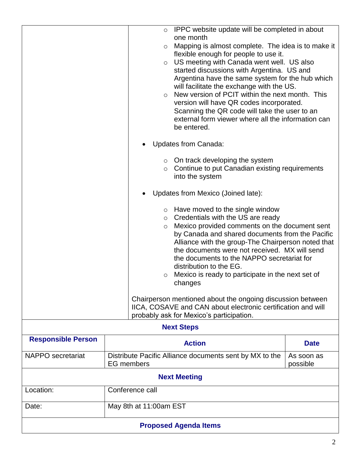|                                                                                                                                                                                                                                                                                                                                                                                                                                                                                                                                                                                                                                 |                                                                              |                     | o IPPC website update will be completed in about                                                                                                                                                                                                                                                                                                                                                                                                                                                                                                                 |  |
|---------------------------------------------------------------------------------------------------------------------------------------------------------------------------------------------------------------------------------------------------------------------------------------------------------------------------------------------------------------------------------------------------------------------------------------------------------------------------------------------------------------------------------------------------------------------------------------------------------------------------------|------------------------------------------------------------------------------|---------------------|------------------------------------------------------------------------------------------------------------------------------------------------------------------------------------------------------------------------------------------------------------------------------------------------------------------------------------------------------------------------------------------------------------------------------------------------------------------------------------------------------------------------------------------------------------------|--|
|                                                                                                                                                                                                                                                                                                                                                                                                                                                                                                                                                                                                                                 |                                                                              | $\circ$<br>$\Omega$ | one month<br>Mapping is almost complete. The idea is to make it<br>flexible enough for people to use it.<br>$\circ$ US meeting with Canada went well. US also<br>started discussions with Argentina. US and<br>Argentina have the same system for the hub which<br>will facilitate the exchange with the US.<br>New version of PCIT within the next month. This<br>version will have QR codes incorporated.<br>Scanning the QR code will take the user to an<br>external form viewer where all the information can<br>be entered.<br><b>Updates from Canada:</b> |  |
| $\circ$ On track developing the system<br>Continue to put Canadian existing requirements<br>$\circ$<br>into the system                                                                                                                                                                                                                                                                                                                                                                                                                                                                                                          |                                                                              |                     |                                                                                                                                                                                                                                                                                                                                                                                                                                                                                                                                                                  |  |
| Updates from Mexico (Joined late):                                                                                                                                                                                                                                                                                                                                                                                                                                                                                                                                                                                              |                                                                              |                     |                                                                                                                                                                                                                                                                                                                                                                                                                                                                                                                                                                  |  |
| $\circ$ Have moved to the single window<br>Credentials with the US are ready<br>$\circ$<br>Mexico provided comments on the document sent<br>O<br>by Canada and shared documents from the Pacific<br>Alliance with the group-The Chairperson noted that<br>the documents were not received. MX will send<br>the documents to the NAPPO secretariat for<br>distribution to the EG.<br>Mexico is ready to participate in the next set of<br>O<br>changes<br>Chairperson mentioned about the ongoing discussion between<br>IICA, COSAVE and CAN about electronic certification and will<br>probably ask for Mexico's participation. |                                                                              |                     |                                                                                                                                                                                                                                                                                                                                                                                                                                                                                                                                                                  |  |
| <b>Next Steps</b>                                                                                                                                                                                                                                                                                                                                                                                                                                                                                                                                                                                                               |                                                                              |                     |                                                                                                                                                                                                                                                                                                                                                                                                                                                                                                                                                                  |  |
| <b>Responsible Person</b>                                                                                                                                                                                                                                                                                                                                                                                                                                                                                                                                                                                                       | <b>Action</b>                                                                |                     | <b>Date</b>                                                                                                                                                                                                                                                                                                                                                                                                                                                                                                                                                      |  |
| NAPPO secretariat                                                                                                                                                                                                                                                                                                                                                                                                                                                                                                                                                                                                               | Distribute Pacific Alliance documents sent by MX to the<br><b>EG</b> members |                     | As soon as<br>possible                                                                                                                                                                                                                                                                                                                                                                                                                                                                                                                                           |  |
| <b>Next Meeting</b>                                                                                                                                                                                                                                                                                                                                                                                                                                                                                                                                                                                                             |                                                                              |                     |                                                                                                                                                                                                                                                                                                                                                                                                                                                                                                                                                                  |  |
| Location:                                                                                                                                                                                                                                                                                                                                                                                                                                                                                                                                                                                                                       | Conference call                                                              |                     |                                                                                                                                                                                                                                                                                                                                                                                                                                                                                                                                                                  |  |
| Date:                                                                                                                                                                                                                                                                                                                                                                                                                                                                                                                                                                                                                           | May 8th at 11:00am EST                                                       |                     |                                                                                                                                                                                                                                                                                                                                                                                                                                                                                                                                                                  |  |
| <b>Proposed Agenda Items</b>                                                                                                                                                                                                                                                                                                                                                                                                                                                                                                                                                                                                    |                                                                              |                     |                                                                                                                                                                                                                                                                                                                                                                                                                                                                                                                                                                  |  |